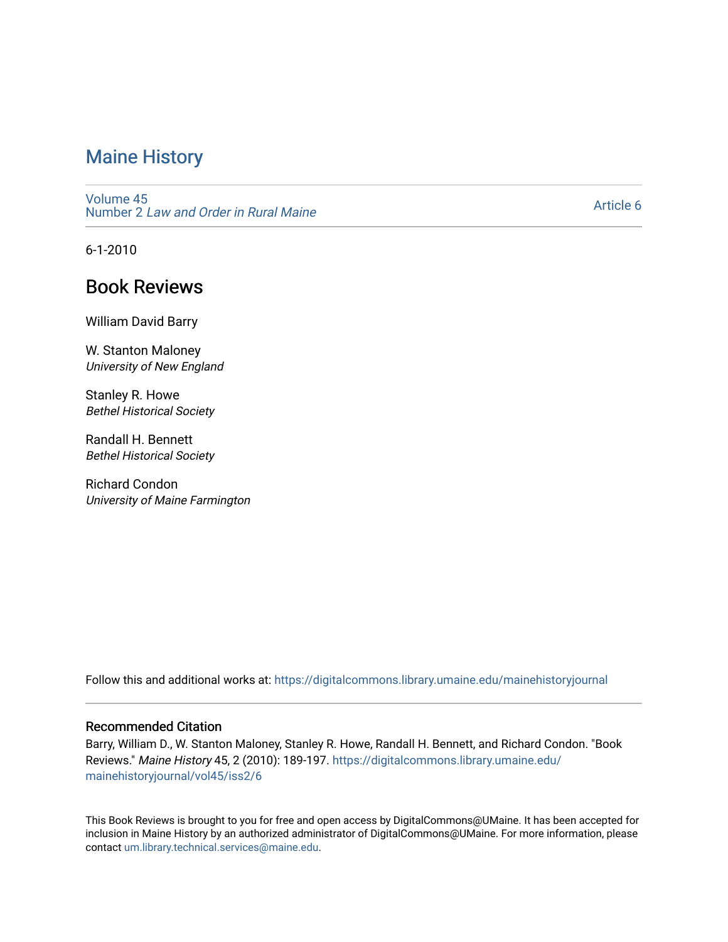### [Maine History](https://digitalcommons.library.umaine.edu/mainehistoryjournal)

[Volume 45](https://digitalcommons.library.umaine.edu/mainehistoryjournal/vol45) Number 2 [Law and Order in Rural Maine](https://digitalcommons.library.umaine.edu/mainehistoryjournal/vol45/iss2) 

[Article 6](https://digitalcommons.library.umaine.edu/mainehistoryjournal/vol45/iss2/6) 

6-1-2010

## Book Reviews

William David Barry

W. Stanton Maloney University of New England

Stanley R. Howe Bethel Historical Society

Randall H. Bennett Bethel Historical Society

Richard Condon University of Maine Farmington

Follow this and additional works at: [https://digitalcommons.library.umaine.edu/mainehistoryjournal](https://digitalcommons.library.umaine.edu/mainehistoryjournal?utm_source=digitalcommons.library.umaine.edu%2Fmainehistoryjournal%2Fvol45%2Fiss2%2F6&utm_medium=PDF&utm_campaign=PDFCoverPages) 

### Recommended Citation

Barry, William D., W. Stanton Maloney, Stanley R. Howe, Randall H. Bennett, and Richard Condon. "Book Reviews." Maine History 45, 2 (2010): 189-197. [https://digitalcommons.library.umaine.edu/](https://digitalcommons.library.umaine.edu/mainehistoryjournal/vol45/iss2/6?utm_source=digitalcommons.library.umaine.edu%2Fmainehistoryjournal%2Fvol45%2Fiss2%2F6&utm_medium=PDF&utm_campaign=PDFCoverPages) [mainehistoryjournal/vol45/iss2/6](https://digitalcommons.library.umaine.edu/mainehistoryjournal/vol45/iss2/6?utm_source=digitalcommons.library.umaine.edu%2Fmainehistoryjournal%2Fvol45%2Fiss2%2F6&utm_medium=PDF&utm_campaign=PDFCoverPages)

This Book Reviews is brought to you for free and open access by DigitalCommons@UMaine. It has been accepted for inclusion in Maine History by an authorized administrator of DigitalCommons@UMaine. For more information, please contact [um.library.technical.services@maine.edu](mailto:um.library.technical.services@maine.edu).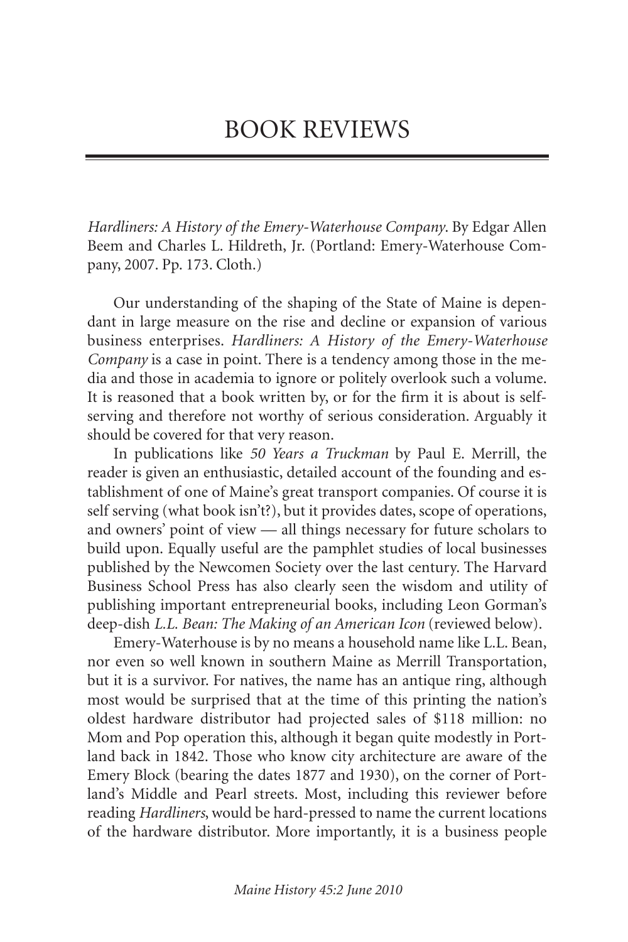# BOOK REVIEWS

*Hardliners: A History of the Emery-Waterhouse Company*. By Edgar Allen Beem and Charles L. Hildreth, Jr. (Portland: Emery-Waterhouse Company, 2007. Pp. 173. Cloth.)

Our understanding of the shaping of the State of Maine is dependant in large measure on the rise and decline or expansion of various business enterprises. *Hardliners: A History of the Emery-Waterhouse Company* is a case in point. There is a tendency among those in the media and those in academia to ignore or politely overlook such a volume. It is reasoned that a book written by, or for the firm it is about is selfserving and therefore not worthy of serious consideration. Arguably it should be covered for that very reason.

In publications like *50 Years a Truckman* by Paul E. Merrill, the reader is given an enthusiastic, detailed account of the founding and establishment of one of Maine's great transport companies. Of course it is self serving (what book isn't?), but it provides dates, scope of operations, and owners' point of view — all things necessary for future scholars to build upon. Equally useful are the pamphlet studies of local businesses published by the Newcomen Society over the last century. The Harvard Business School Press has also clearly seen the wisdom and utility of publishing important entrepreneurial books, including Leon Gorman's deep-dish *L.L. Bean: The Making of an American Icon* (reviewed below).

Emery-Waterhouse is by no means a household name like L.L. Bean, nor even so well known in southern Maine as Merrill Transportation, but it is a survivor. For natives, the name has an antique ring, although most would be surprised that at the time of this printing the nation's oldest hardware distributor had projected sales of \$118 million: no Mom and Pop operation this, although it began quite modestly in Portland back in 1842. Those who know city architecture are aware of the Emery Block (bearing the dates 1877 and 1930), on the corner of Portland's Middle and Pearl streets. Most, including this reviewer before reading *Hardliners*, would be hard-pressed to name the current locations of the hardware distributor. More importantly, it is a business people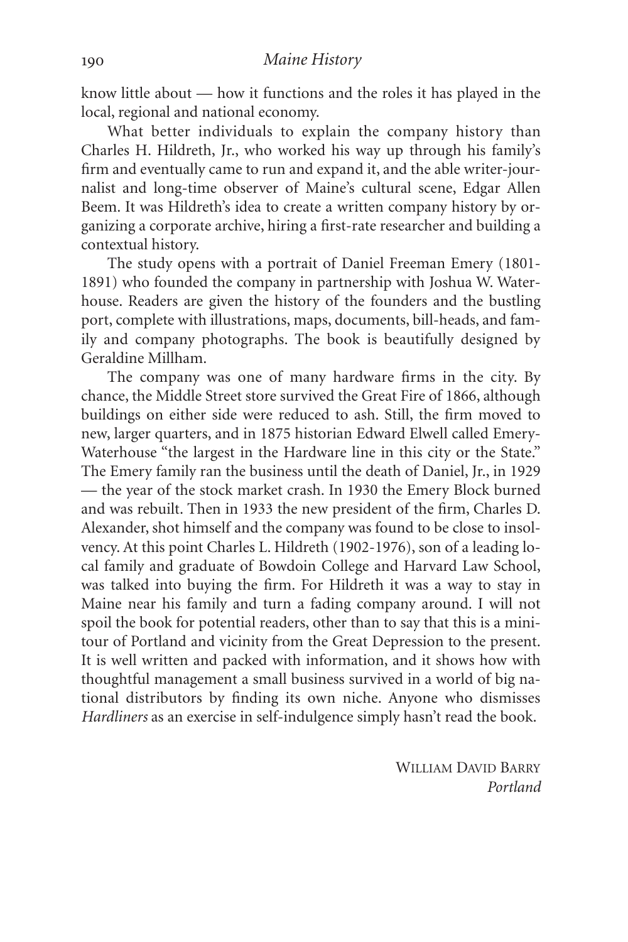know little about — how it functions and the roles it has played in the local, regional and national economy.

What better individuals to explain the company history than Charles H. Hildreth, Jr., who worked his way up through his family's firm and eventually came to run and expand it, and the able writer-journalist and long-time observer of Maine's cultural scene, Edgar Allen Beem. It was Hildreth's idea to create a written company history by organizing a corporate archive, hiring a first-rate researcher and building a contextual history.

The study opens with a portrait of Daniel Freeman Emery (1801- 1891) who founded the company in partnership with Joshua W. Waterhouse. Readers are given the history of the founders and the bustling port, complete with illustrations, maps, documents, bill-heads, and family and company photographs. The book is beautifully designed by Geraldine Millham.

The company was one of many hardware firms in the city. By chance, the Middle Street store survived the Great Fire of 1866, although buildings on either side were reduced to ash. Still, the firm moved to new, larger quarters, and in 1875 historian Edward Elwell called Emery-Waterhouse "the largest in the Hardware line in this city or the State." The Emery family ran the business until the death of Daniel, Jr., in 1929 — the year of the stock market crash. In 1930 the Emery Block burned and was rebuilt. Then in 1933 the new president of the firm, Charles D. Alexander, shot himself and the company was found to be close to insolvency. At this point Charles L. Hildreth (1902-1976), son of a leading local family and graduate of Bowdoin College and Harvard Law School, was talked into buying the firm. For Hildreth it was a way to stay in Maine near his family and turn a fading company around. I will not spoil the book for potential readers, other than to say that this is a minitour of Portland and vicinity from the Great Depression to the present. It is well written and packed with information, and it shows how with thoughtful management a small business survived in a world of big national distributors by finding its own niche. Anyone who dismisses *Hardliners* as an exercise in self-indulgence simply hasn't read the book.

> WILLIAM DAVID BARRY *Portland*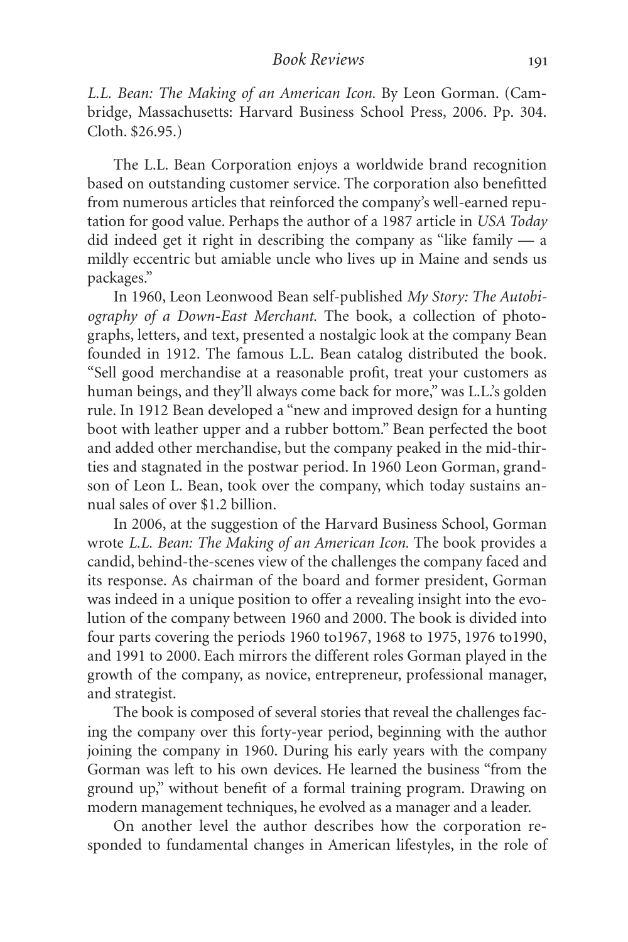*L.L. Bean: The Making of an American Icon.* By Leon Gorman. (Cambridge, Massachusetts: Harvard Business School Press, 2006. Pp. 304. Cloth. \$26.95.)

The L.L. Bean Corporation enjoys a worldwide brand recognition based on outstanding customer service. The corporation also benefitted from numerous articles that reinforced the company's well-earned reputation for good value. Perhaps the author of a 1987 article in *USA Today* did indeed get it right in describing the company as "like family — a mildly eccentric but amiable uncle who lives up in Maine and sends us packages."

In 1960, Leon Leonwood Bean self-published *My Story: The Autobiography of a Down-East Merchant.* The book, a collection of photographs, letters, and text, presented a nostalgic look at the company Bean founded in 1912. The famous L.L. Bean catalog distributed the book. "Sell good merchandise at a reasonable profit, treat your customers as human beings, and they'll always come back for more," was L.L.'s golden rule. In 1912 Bean developed a "new and improved design for a hunting boot with leather upper and a rubber bottom." Bean perfected the boot and added other merchandise, but the company peaked in the mid-thirties and stagnated in the postwar period. In 1960 Leon Gorman, grandson of Leon L. Bean, took over the company, which today sustains annual sales of over \$1.2 billion.

In 2006, at the suggestion of the Harvard Business School, Gorman wrote *L.L. Bean: The Making of an American Icon.* The book provides a candid, behind-the-scenes view of the challenges the company faced and its response. As chairman of the board and former president, Gorman was indeed in a unique position to offer a revealing insight into the evolution of the company between 1960 and 2000. The book is divided into four parts covering the periods 1960 to1967, 1968 to 1975, 1976 to1990, and 1991 to 2000. Each mirrors the different roles Gorman played in the growth of the company, as novice, entrepreneur, professional manager, and strategist.

The book is composed of several stories that reveal the challenges facing the company over this forty-year period, beginning with the author joining the company in 1960. During his early years with the company Gorman was left to his own devices. He learned the business "from the ground up," without benefit of a formal training program. Drawing on modern management techniques, he evolved as a manager and a leader.

On another level the author describes how the corporation responded to fundamental changes in American lifestyles, in the role of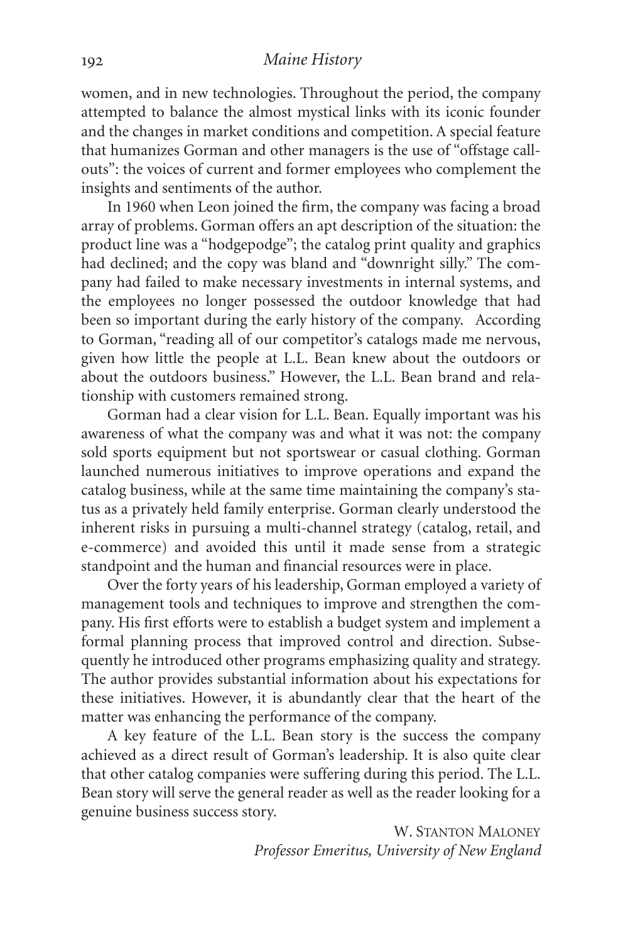### *Maine History*

women, and in new technologies. Throughout the period, the company attempted to balance the almost mystical links with its iconic founder and the changes in market conditions and competition. A special feature that humanizes Gorman and other managers is the use of "offstage callouts": the voices of current and former employees who complement the insights and sentiments of the author.

In 1960 when Leon joined the firm, the company was facing a broad array of problems. Gorman offers an apt description of the situation: the product line was a "hodgepodge"; the catalog print quality and graphics had declined; and the copy was bland and "downright silly." The company had failed to make necessary investments in internal systems, and the employees no longer possessed the outdoor knowledge that had been so important during the early history of the company. According to Gorman, "reading all of our competitor's catalogs made me nervous, given how little the people at L.L. Bean knew about the outdoors or about the outdoors business." However, the L.L. Bean brand and relationship with customers remained strong.

Gorman had a clear vision for L.L. Bean. Equally important was his awareness of what the company was and what it was not: the company sold sports equipment but not sportswear or casual clothing. Gorman launched numerous initiatives to improve operations and expand the catalog business, while at the same time maintaining the company's status as a privately held family enterprise. Gorman clearly understood the inherent risks in pursuing a multi-channel strategy (catalog, retail, and e-commerce) and avoided this until it made sense from a strategic standpoint and the human and financial resources were in place.

Over the forty years of his leadership, Gorman employed a variety of management tools and techniques to improve and strengthen the company. His first efforts were to establish a budget system and implement a formal planning process that improved control and direction. Subsequently he introduced other programs emphasizing quality and strategy. The author provides substantial information about his expectations for these initiatives. However, it is abundantly clear that the heart of the matter was enhancing the performance of the company.

A key feature of the L.L. Bean story is the success the company achieved as a direct result of Gorman's leadership. It is also quite clear that other catalog companies were suffering during this period. The L.L. Bean story will serve the general reader as well as the reader looking for a genuine business success story.

> W. STANTON MALONEY *Professor Emeritus, University of New England*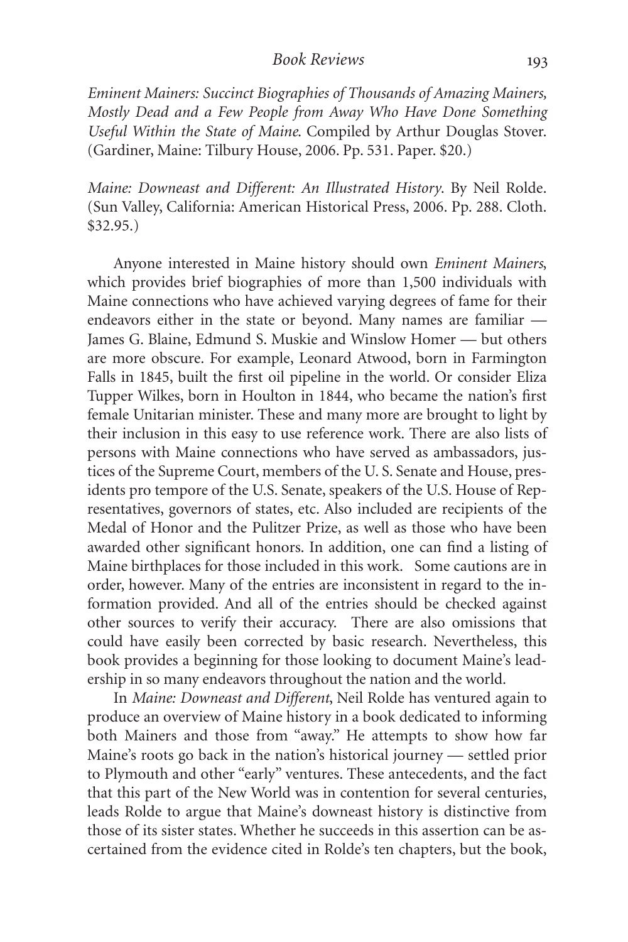#### *Book Reviews*

*Eminent Mainers: Succinct Biographies of Thousands of Amazing Mainers, Mostly Dead and a Few People from Away Who Have Done Something Useful Within the State of Maine*. Compiled by Arthur Douglas Stover. (Gardiner, Maine: Tilbury House, 2006. Pp. 531. Paper. \$20.)

*Maine: Downeast and Different: An Illustrated History*. By Neil Rolde. (Sun Valley, California: American Historical Press, 2006. Pp. 288. Cloth. \$32.95.)

Anyone interested in Maine history should own *Eminent Mainers*, which provides brief biographies of more than 1,500 individuals with Maine connections who have achieved varying degrees of fame for their endeavors either in the state or beyond. Many names are familiar — James G. Blaine, Edmund S. Muskie and Winslow Homer — but others are more obscure. For example, Leonard Atwood, born in Farmington Falls in 1845, built the first oil pipeline in the world. Or consider Eliza Tupper Wilkes, born in Houlton in 1844, who became the nation's first female Unitarian minister. These and many more are brought to light by their inclusion in this easy to use reference work. There are also lists of persons with Maine connections who have served as ambassadors, justices of the Supreme Court, members of the U. S. Senate and House, presidents pro tempore of the U.S. Senate, speakers of the U.S. House of Representatives, governors of states, etc. Also included are recipients of the Medal of Honor and the Pulitzer Prize, as well as those who have been awarded other significant honors. In addition, one can find a listing of Maine birthplaces for those included in this work. Some cautions are in order, however. Many of the entries are inconsistent in regard to the information provided. And all of the entries should be checked against other sources to verify their accuracy. There are also omissions that could have easily been corrected by basic research. Nevertheless, this book provides a beginning for those looking to document Maine's leadership in so many endeavors throughout the nation and the world.

In *Maine: Downeast and Different*, Neil Rolde has ventured again to produce an overview of Maine history in a book dedicated to informing both Mainers and those from "away." He attempts to show how far Maine's roots go back in the nation's historical journey — settled prior to Plymouth and other "early" ventures. These antecedents, and the fact that this part of the New World was in contention for several centuries, leads Rolde to argue that Maine's downeast history is distinctive from those of its sister states. Whether he succeeds in this assertion can be ascertained from the evidence cited in Rolde's ten chapters, but the book,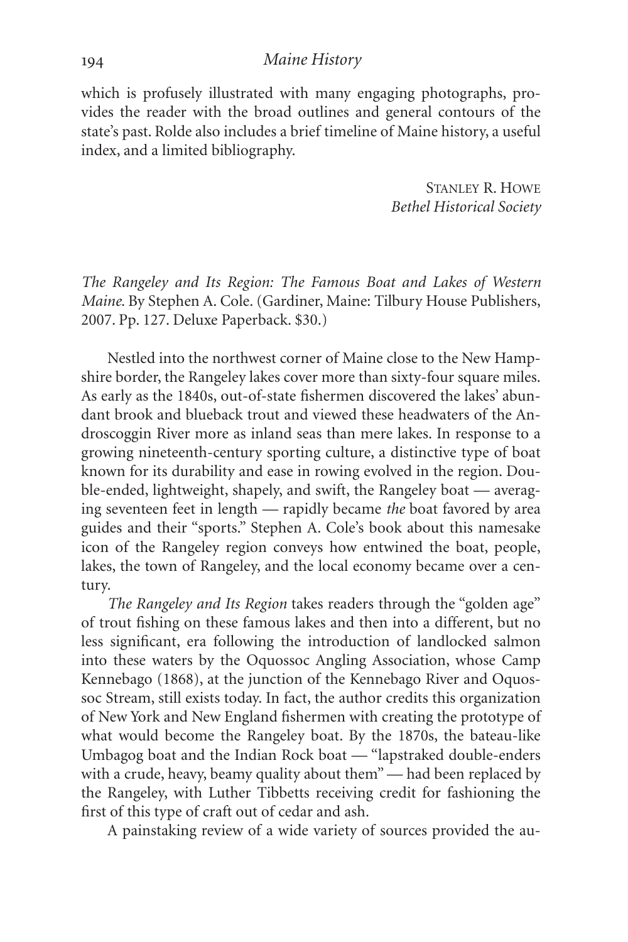which is profusely illustrated with many engaging photographs, provides the reader with the broad outlines and general contours of the state's past. Rolde also includes a brief timeline of Maine history, a useful index, and a limited bibliography.

> STANLEY R. HOWE *Bethel Historical Society*

*The Rangeley and Its Region: The Famous Boat and Lakes of Western Maine*. By Stephen A. Cole. (Gardiner, Maine: Tilbury House Publishers, 2007. Pp. 127. Deluxe Paperback. \$30.)

Nestled into the northwest corner of Maine close to the New Hampshire border, the Rangeley lakes cover more than sixty-four square miles. As early as the 1840s, out-of-state fishermen discovered the lakes' abundant brook and blueback trout and viewed these headwaters of the Androscoggin River more as inland seas than mere lakes. In response to a growing nineteenth-century sporting culture, a distinctive type of boat known for its durability and ease in rowing evolved in the region. Double-ended, lightweight, shapely, and swift, the Rangeley boat — averaging seventeen feet in length — rapidly became *the* boat favored by area guides and their "sports." Stephen A. Cole's book about this namesake icon of the Rangeley region conveys how entwined the boat, people, lakes, the town of Rangeley, and the local economy became over a century.

*The Rangeley and Its Region* takes readers through the "golden age" of trout fishing on these famous lakes and then into a different, but no less significant, era following the introduction of landlocked salmon into these waters by the Oquossoc Angling Association, whose Camp Kennebago (1868), at the junction of the Kennebago River and Oquossoc Stream, still exists today. In fact, the author credits this organization of New York and New England fishermen with creating the prototype of what would become the Rangeley boat. By the 1870s, the bateau-like Umbagog boat and the Indian Rock boat — "lapstraked double-enders with a crude, heavy, beamy quality about them" — had been replaced by the Rangeley, with Luther Tibbetts receiving credit for fashioning the first of this type of craft out of cedar and ash.

A painstaking review of a wide variety of sources provided the au-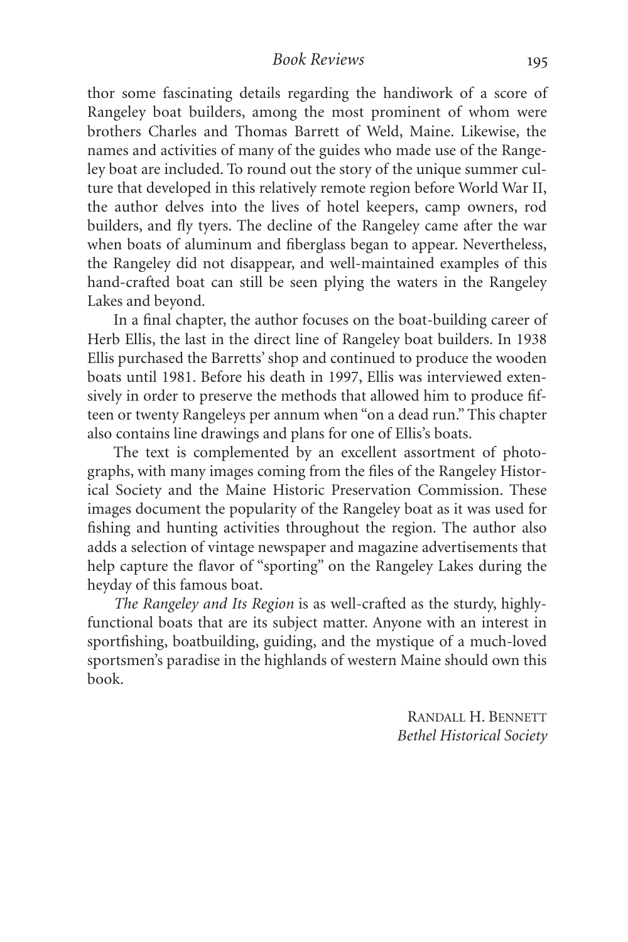thor some fascinating details regarding the handiwork of a score of Rangeley boat builders, among the most prominent of whom were brothers Charles and Thomas Barrett of Weld, Maine. Likewise, the names and activities of many of the guides who made use of the Rangeley boat are included. To round out the story of the unique summer culture that developed in this relatively remote region before World War II, the author delves into the lives of hotel keepers, camp owners, rod builders, and fly tyers. The decline of the Rangeley came after the war when boats of aluminum and fiberglass began to appear. Nevertheless, the Rangeley did not disappear, and well-maintained examples of this hand-crafted boat can still be seen plying the waters in the Rangeley Lakes and beyond.

In a final chapter, the author focuses on the boat-building career of Herb Ellis, the last in the direct line of Rangeley boat builders. In 1938 Ellis purchased the Barretts' shop and continued to produce the wooden boats until 1981. Before his death in 1997, Ellis was interviewed extensively in order to preserve the methods that allowed him to produce fifteen or twenty Rangeleys per annum when "on a dead run." This chapter also contains line drawings and plans for one of Ellis's boats.

The text is complemented by an excellent assortment of photographs, with many images coming from the files of the Rangeley Historical Society and the Maine Historic Preservation Commission. These images document the popularity of the Rangeley boat as it was used for fishing and hunting activities throughout the region. The author also adds a selection of vintage newspaper and magazine advertisements that help capture the flavor of "sporting" on the Rangeley Lakes during the heyday of this famous boat.

*The Rangeley and Its Region* is as well-crafted as the sturdy, highlyfunctional boats that are its subject matter. Anyone with an interest in sportfishing, boatbuilding, guiding, and the mystique of a much-loved sportsmen's paradise in the highlands of western Maine should own this book.

> RANDALL H. BENNETT *Bethel Historical Society*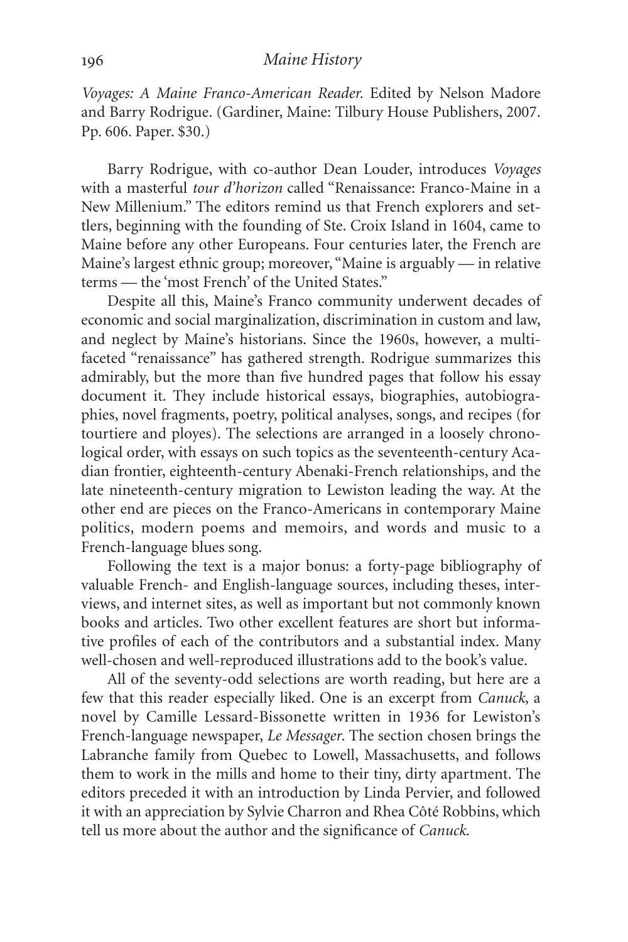*Voyages: A Maine Franco-American Reader.* Edited by Nelson Madore and Barry Rodrigue. (Gardiner, Maine: Tilbury House Publishers, 2007. Pp. 606. Paper. \$30.)

Barry Rodrigue, with co-author Dean Louder, introduces *Voyages* with a masterful *tour d'horizon* called "Renaissance: Franco-Maine in a New Millenium." The editors remind us that French explorers and settlers, beginning with the founding of Ste. Croix Island in 1604, came to Maine before any other Europeans. Four centuries later, the French are Maine's largest ethnic group; moreover, "Maine is arguably — in relative terms — the 'most French' of the United States."

Despite all this, Maine's Franco community underwent decades of economic and social marginalization, discrimination in custom and law, and neglect by Maine's historians. Since the 1960s, however, a multifaceted "renaissance" has gathered strength. Rodrigue summarizes this admirably, but the more than five hundred pages that follow his essay document it. They include historical essays, biographies, autobiographies, novel fragments, poetry, political analyses, songs, and recipes (for tourtiere and ployes). The selections are arranged in a loosely chronological order, with essays on such topics as the seventeenth-century Acadian frontier, eighteenth-century Abenaki-French relationships, and the late nineteenth-century migration to Lewiston leading the way. At the other end are pieces on the Franco-Americans in contemporary Maine politics, modern poems and memoirs, and words and music to a French-language blues song.

Following the text is a major bonus: a forty-page bibliography of valuable French- and English-language sources, including theses, interviews, and internet sites, as well as important but not commonly known books and articles. Two other excellent features are short but informative profiles of each of the contributors and a substantial index. Many well-chosen and well-reproduced illustrations add to the book's value.

All of the seventy-odd selections are worth reading, but here are a few that this reader especially liked. One is an excerpt from *Canuck*, a novel by Camille Lessard-Bissonette written in 1936 for Lewiston's French-language newspaper, *Le Messager*. The section chosen brings the Labranche family from Quebec to Lowell, Massachusetts, and follows them to work in the mills and home to their tiny, dirty apartment. The editors preceded it with an introduction by Linda Pervier, and followed it with an appreciation by Sylvie Charron and Rhea Côté Robbins, which tell us more about the author and the significance of *Canuck*.